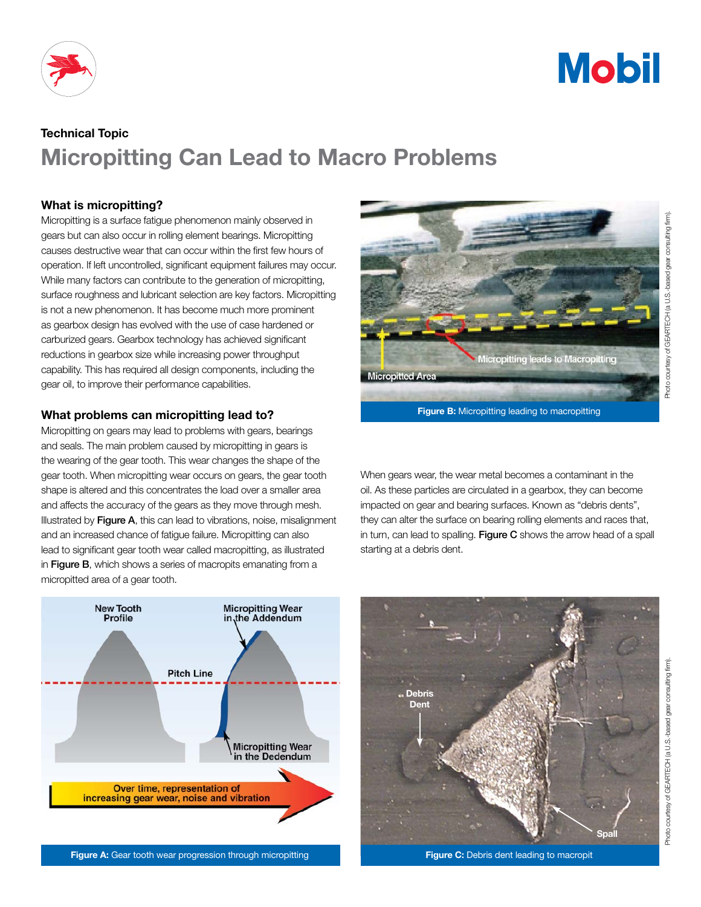



# Technical Topic Micropitting Can Lead to Macro Problems

# What is micropitting?

Micropitting is a surface fatigue phenomenon mainly observed in gears but can also occur in rolling element bearings. Micropitting causes destructive wear that can occur within the first few hours of operation. If left uncontrolled, significant equipment failures may occur. While many factors can contribute to the generation of micropitting, surface roughness and lubricant selection are key factors. Micropitting is not a new phenomenon. It has become much more prominent as gearbox design has evolved with the use of case hardened or carburized gears. Gearbox technology has achieved significant reductions in gearbox size while increasing power throughput capability. This has required all design components, including the gear oil, to improve their performance capabilities.

## What problems can micropitting lead to?

Micropitting on gears may lead to problems with gears, bearings and seals. The main problem caused by micropitting in gears is the wearing of the gear tooth. This wear changes the shape of the gear tooth. When micropitting wear occurs on gears, the gear tooth shape is altered and this concentrates the load over a smaller area and affects the accuracy of the gears as they move through mesh. Illustrated by Figure A, this can lead to vibrations, noise, misalignment and an increased chance of fatigue failure. Micropitting can also lead to significant gear tooth wear called macropitting, as illustrated in Figure B, which shows a series of macropits emanating from a micropitted area of a gear tooth.



Figure A: Gear tooth wear progression through micropitting



**Figure B:** Micropitting leading to macropitting

When gears wear, the wear metal becomes a contaminant in the oil. As these particles are circulated in a gearbox, they can become impacted on gear and bearing surfaces. Known as "debris dents", they can alter the surface on bearing rolling elements and races that, in turn, can lead to spalling. Figure  $C$  shows the arrow head of a spall starting at a debris dent.



Figure C: Debris dent leading to macropit